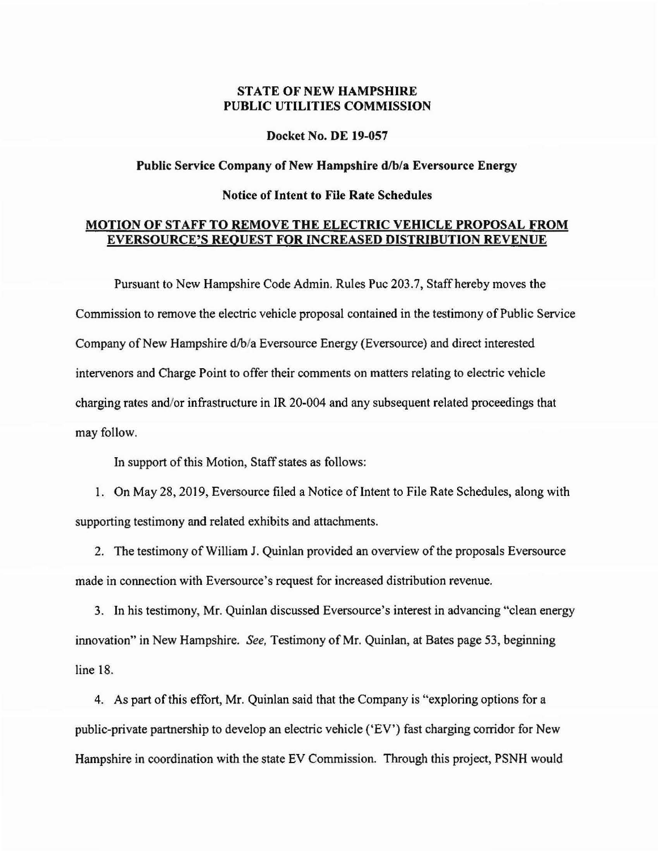## STATE OF NEW HAMPSHIRE PUBLIC UTILITIES COMMISSION

Docket No. DE 19-057

## Public Service Company of New Hampshire d/b/a Eversource Energy

## Notice of Intent to File Rate Schedules

## MOTION OF STAFF TO REMOVE THE ELECTRIC VEHICLE PROPOSAL FROM EVERSOURCE'S REQUEST FOR INCREASED DISTRIBUTION REVENUE

Pursuant to New Hampshire Code Admin. Rules Puc 203.7, Staff hereby moves the Commission to remove the electric vehicle proposal contained in the testimony of Public Service Company of New Hampshire d/b/a Eversource Energy (Eversource) and direct interested intervenors and Charge Point to offer their comments on matters relating to electric vehicle charging rates and/or infrastructure in IR 20-004 and any subsequent related proceedings that may follow.

In support of this Motion, Staff states as follows:

1. On May 28, 2019, Eversource filed a Notice of Intent to File Rate Schedules, along with supporting testimony and related exhibits and attachments.

2. The testimony of William J. Quinlan provided an overview of the proposals Eversource made in connection with Eversource's request for increased distribution revenue.

3. In his testimony, Mr. Quinlan discussed Eversource's interest in advancing "clean energy innovation" in New Hampshire. *See,* Testimony of Mr. Quinlan, at Bates page 53, beginning line 18.

4. As part of this effort, Mr. Quinlan said that the Company is "exploring options for a public-private partnership to develop an electric vehicle ('EV') fast charging corridor for New Hampshire in coordination with the state EV Commission. Through this project, PSNH would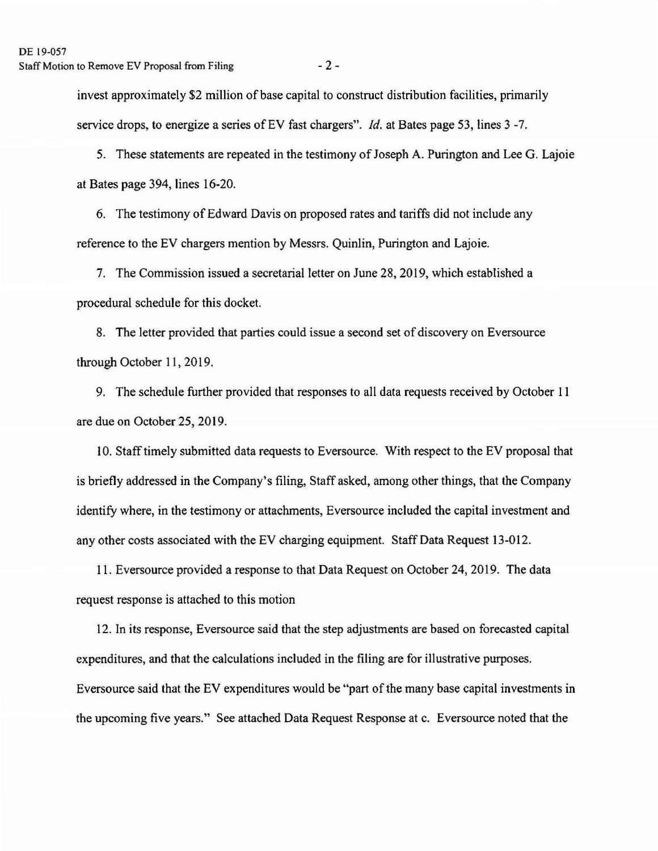invest approximately \$2 million of base capital to construct distribution facilities, primarily service drops, to energize a series of EV fast chargers". *Id.* at Bates page 53, lines 3 -7.

5. These statements are repeated in the testimony of Joseph A. Purington and Lee G. Lajoie at Bates page 394, lines 16-20.

6. The testimony of Edward Davis on proposed rates and tariffs did not include any reference to the EV chargers mention by Messrs. Quinlin, Purington and Lajoie.

7. The Commission issued a secretarial letter on June 28, 2019, which established a procedural schedule for this docket.

8. The letter provided that parties could issue a second set of discovery on Eversource through October 11, 2019.

9. The schedule further provided that responses to all data requests received by October I 1 are due on October 25, 2019.

10. Staff timely submitted data requests to Eversource. With respect to the EV proposal that is briefly addressed in the Company's filing, Staff asked, among other things, that the Company identify where, in the testimony or attachments, Eversource included the capital investment and any other costs associated with the EV charging equipment. Staff Data Request 13-012.

11. Eversource provided a response to that Data Request on October 24, 2019. The data request response is attached to this motion

12. In its response, Eversource said that the step adjustments are based on forecasted capital expenditures, and that the calculations included in the filing are for illustrative purposes. Eversource said that the EV expenditures would be "part of the many base capital investments in the upcoming five years." See attached Data Request Response at c. Eversource noted that the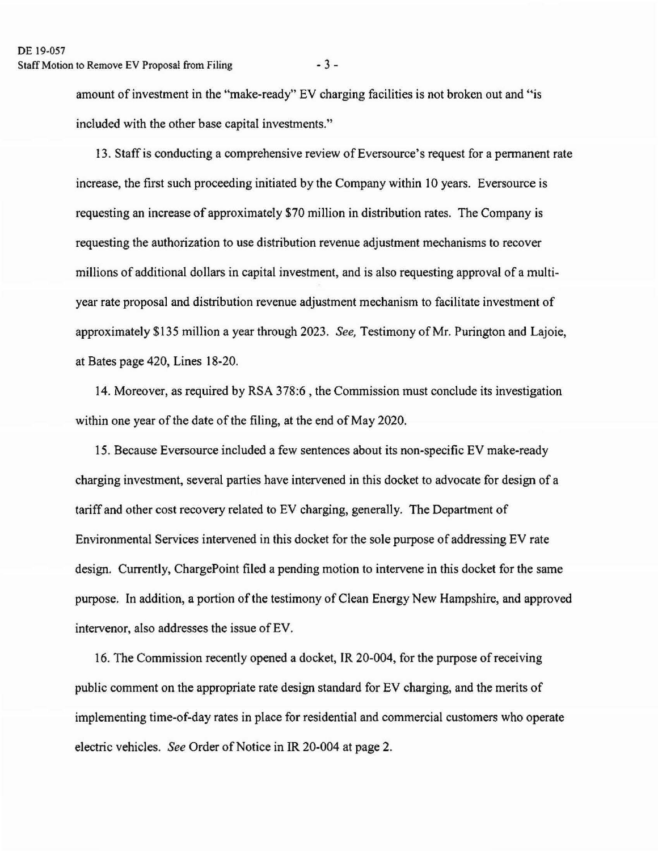amount of investment in the "make-ready" EV charging facilities is not broken out and "is included with the other base capital investments.''

13. Staff is conducting a comprehensive review of Eversource's request for a permanent rate increase, the first such proceeding initiated by the Company within 10 years. Eversource is requesting an increase of approximately \$70 million in distribution rates. The Company is requesting the authorization to use distribution revenue adjustment mechanisms to recover millions of additional dollars in capital investment, and is also requesting approval of a multiyear rate proposal and distribution revenue adjustment mechanism to facilitate investment of approximately \$135 million a year through 2023. *See,* Testimony of Mr. Purington and Lajoie, at Bates page 420, Lines 18-20.

14. Moreover, as required by RSA 378:6, the Commission must conclude its investigation within one year of the date of the filing, at the end of May 2020.

15. Because Eversource included a few sentences about its non-specific EV make-ready charging investment, several parties have intervened in this docket to advocate for design of a tariff and other cost recovery related to EV charging, generally. The Department of Environmental Services intervened in this docket for the sole purpose of addressing EV rate design. Currently, ChargePoint filed a pending motion to intervene in this docket for the same purpose. In addition, a portion of the testimony of Clean Energy New Hampshire, and approved intervenor, also addresses the issue of EV.

16. The Commission recently opened a docket, IR 20-004, for the purpose of receiving public comment on the appropriate rate design standard for EV charging, and the merits of implementing time-of-day rates in place for residential and commercial customers who operate electric vehicles. *See* Order of Notice in IR 20-004 at page 2.